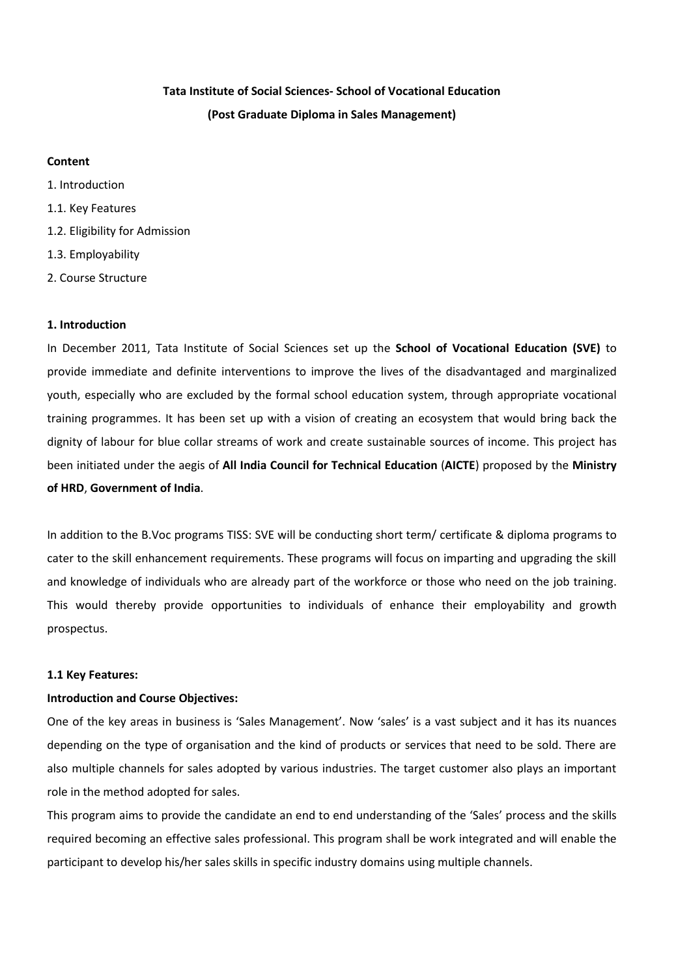## **Tata Institute of Social Sciences- School of Vocational Education (Post Graduate Diploma in Sales Management)**

#### **Content**

1. Introduction 1.1. Key Features 1.2. Eligibility for Admission 1.3. Employability 2. Course Structure

#### **1. Introduction**

In December 2011, Tata Institute of Social Sciences set up the **School of Vocational Education (SVE)** to provide immediate and definite interventions to improve the lives of the disadvantaged and marginalized youth, especially who are excluded by the formal school education system, through appropriate vocational training programmes. It has been set up with a vision of creating an ecosystem that would bring back the dignity of labour for blue collar streams of work and create sustainable sources of income. This project has been initiated under the aegis of **All India Council for Technical Education** (**AICTE**) proposed by the **Ministry of HRD**, **Government of India**.

In addition to the B.Voc programs TISS: SVE will be conducting short term/ certificate & diploma programs to cater to the skill enhancement requirements. These programs will focus on imparting and upgrading the skill and knowledge of individuals who are already part of the workforce or those who need on the job training. This would thereby provide opportunities to individuals of enhance their employability and growth prospectus.

#### **1.1 Key Features:**

#### **Introduction and Course Objectives:**

One of the key areas in business is 'Sales Management'. Now 'sales' is a vast subject and it has its nuances depending on the type of organisation and the kind of products or services that need to be sold. There are also multiple channels for sales adopted by various industries. The target customer also plays an important role in the method adopted for sales.

This program aims to provide the candidate an end to end understanding of the 'Sales' process and the skills required becoming an effective sales professional. This program shall be work integrated and will enable the participant to develop his/her sales skills in specific industry domains using multiple channels.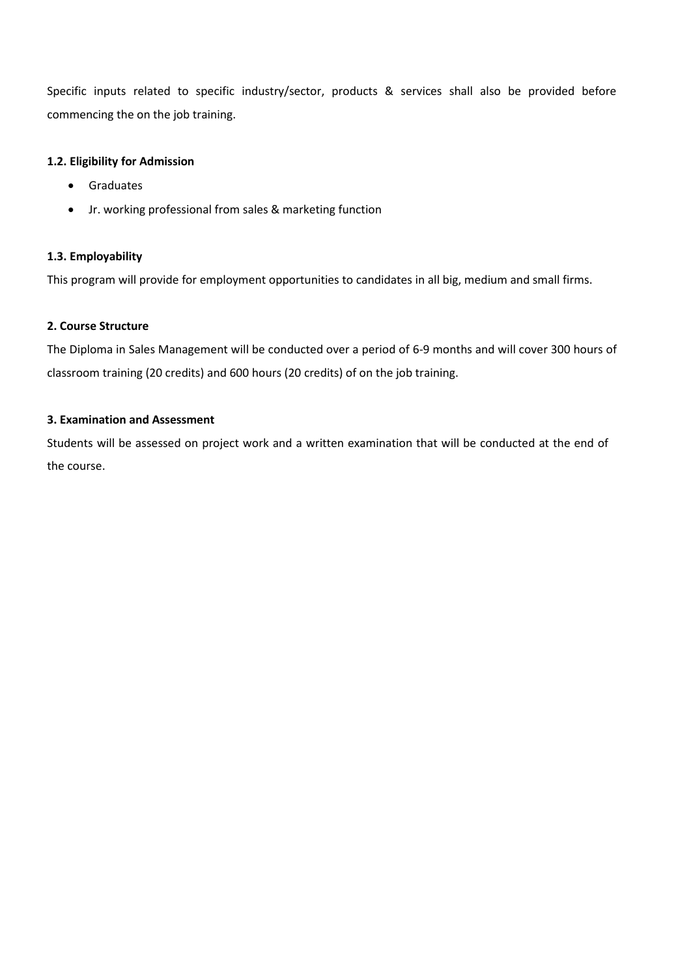Specific inputs related to specific industry/sector, products & services shall also be provided before commencing the on the job training.

#### **1.2. Eligibility for Admission**

- **•** Graduates
- Jr. working professional from sales & marketing function

#### **1.3. Employability**

This program will provide for employment opportunities to candidates in all big, medium and small firms.

#### **2. Course Structure**

The Diploma in Sales Management will be conducted over a period of 6-9 months and will cover 300 hours of classroom training (20 credits) and 600 hours (20 credits) of on the job training.

#### **3. Examination and Assessment**

Students will be assessed on project work and a written examination that will be conducted at the end of the course.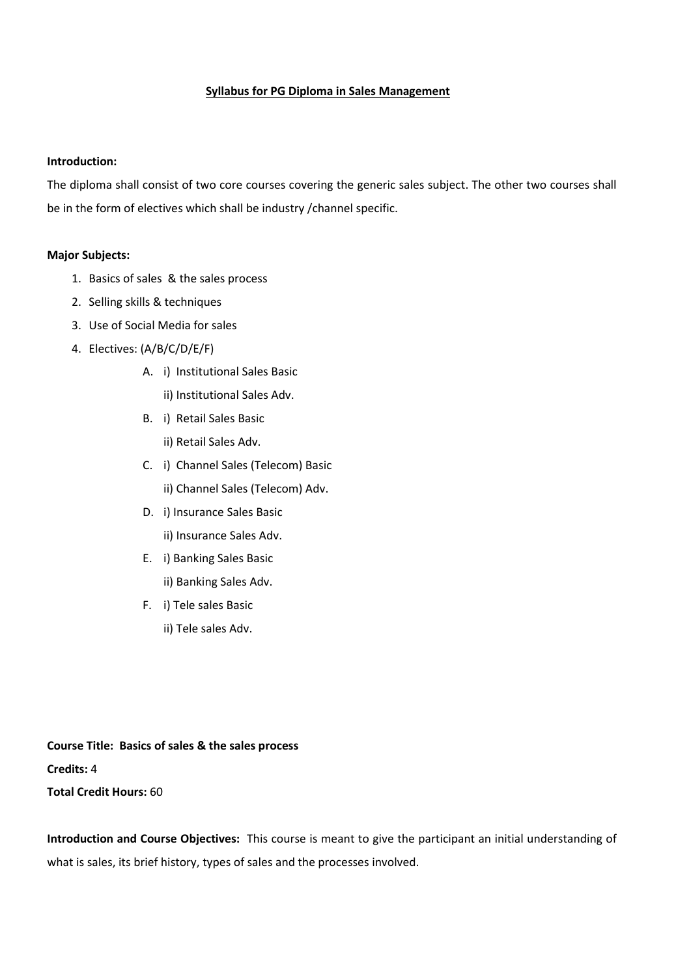#### **Syllabus for PG Diploma in Sales Management**

#### **Introduction:**

The diploma shall consist of two core courses covering the generic sales subject. The other two courses shall be in the form of electives which shall be industry /channel specific.

#### **Major Subjects:**

- 1. Basics of sales & the sales process
- 2. Selling skills & techniques
- 3. Use of Social Media for sales
- 4. Electives: (A/B/C/D/E/F)
	- A. i) Institutional Sales Basic
		- ii) Institutional Sales Adv.
	- B. i) Retail Sales Basic ii) Retail Sales Adv.
	- C. i) Channel Sales (Telecom) Basic ii) Channel Sales (Telecom) Adv.
	- D. i) Insurance Sales Basic ii) Insurance Sales Adv.
	- E. i) Banking Sales Basic ii) Banking Sales Adv.
	- F. i) Tele sales Basic
		- ii) Tele sales Adv.

**Course Title: Basics of sales & the sales process Credits:** 4 **Total Credit Hours:** 60

**Introduction and Course Objectives:** This course is meant to give the participant an initial understanding of what is sales, its brief history, types of sales and the processes involved.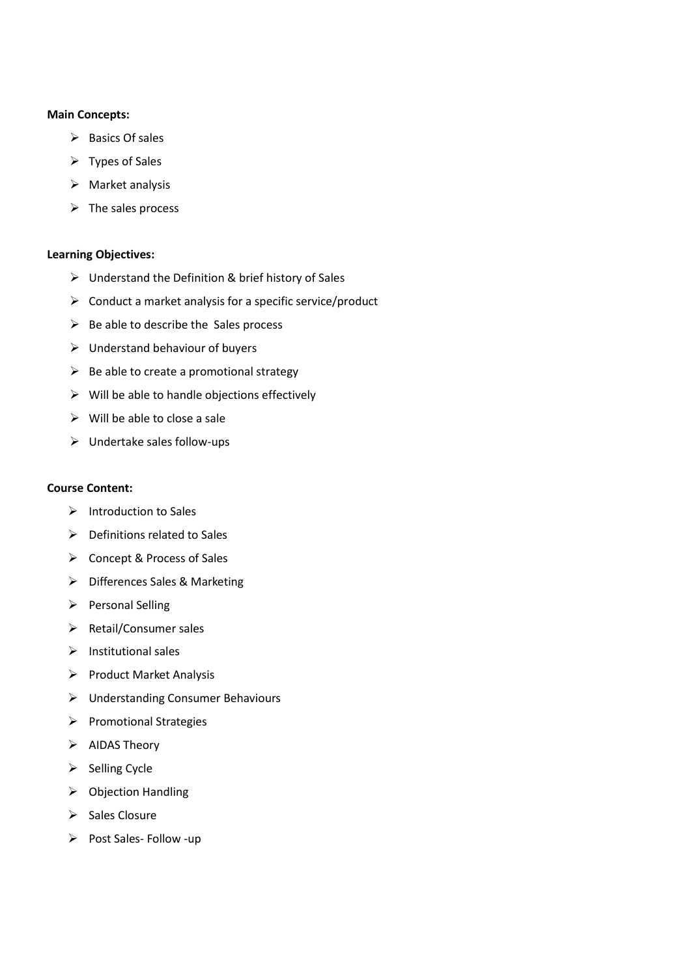#### **Main Concepts:**

- $\triangleright$  Basics Of sales
- $\triangleright$  Types of Sales
- $\triangleright$  Market analysis
- $\triangleright$  The sales process

#### **Learning Objectives:**

- $\triangleright$  Understand the Definition & brief history of Sales
- $\triangleright$  Conduct a market analysis for a specific service/product
- $\triangleright$  Be able to describe the Sales process
- $\triangleright$  Understand behaviour of buyers
- $\triangleright$  Be able to create a promotional strategy
- $\triangleright$  Will be able to handle objections effectively
- $\triangleright$  Will be able to close a sale
- Undertake sales follow-ups

#### **Course Content:**

- $\triangleright$  Introduction to Sales
- $\triangleright$  Definitions related to Sales
- Concept & Process of Sales
- > Differences Sales & Marketing
- $\triangleright$  Personal Selling
- $\triangleright$  Retail/Consumer sales
- $\triangleright$  Institutional sales
- $\triangleright$  Product Market Analysis
- Understanding Consumer Behaviours
- $\triangleright$  Promotional Strategies
- $\triangleright$  AIDAS Theory
- $\triangleright$  Selling Cycle
- $\triangleright$  Objection Handling
- $\triangleright$  Sales Closure
- $\triangleright$  Post Sales- Follow -up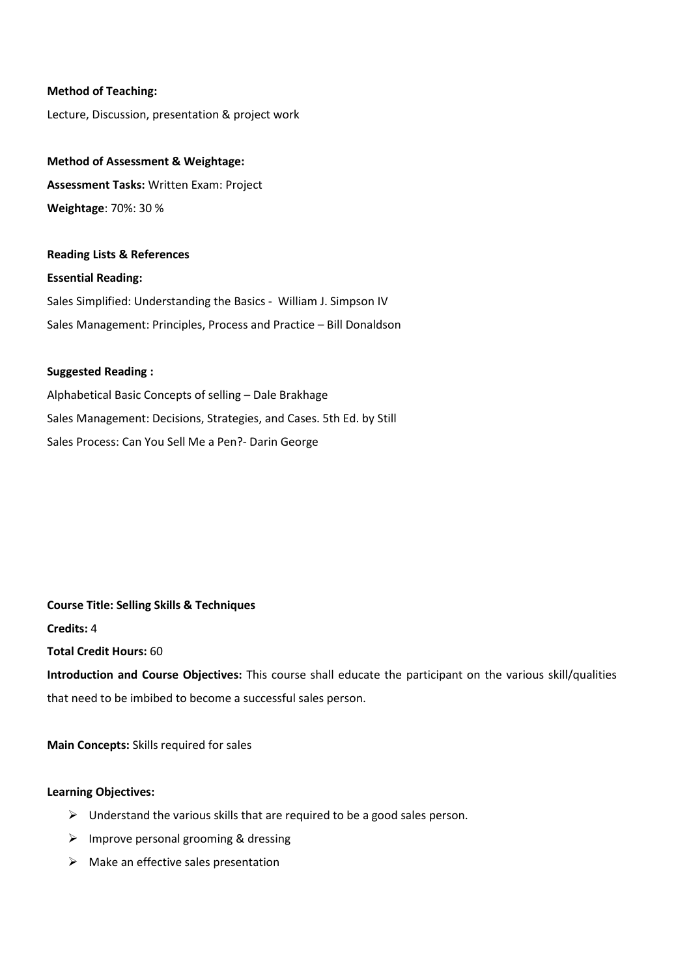#### **Method of Teaching:**

Lecture, Discussion, presentation & project work

#### **Method of Assessment & Weightage:**

**Assessment Tasks:** Written Exam: Project **Weightage**: 70%: 30 %

#### **Reading Lists & References**

**Essential Reading:** Sales Simplified: Understanding the Basics - William J. Simpson IV Sales Management: Principles, Process and Practice – Bill Donaldson

#### **Suggested Reading :**

Alphabetical Basic Concepts of selling – Dale Brakhage Sales Management: Decisions, Strategies, and Cases. 5th Ed. by Still Sales Process: Can You Sell Me a Pen?- Darin George

**Course Title: Selling Skills & Techniques Credits:** 4

**Total Credit Hours:** 60

**Introduction and Course Objectives:** This course shall educate the participant on the various skill/qualities that need to be imbibed to become a successful sales person.

**Main Concepts:** Skills required for sales

#### **Learning Objectives:**

- $\triangleright$  Understand the various skills that are required to be a good sales person.
- $\triangleright$  Improve personal grooming & dressing
- $\triangleright$  Make an effective sales presentation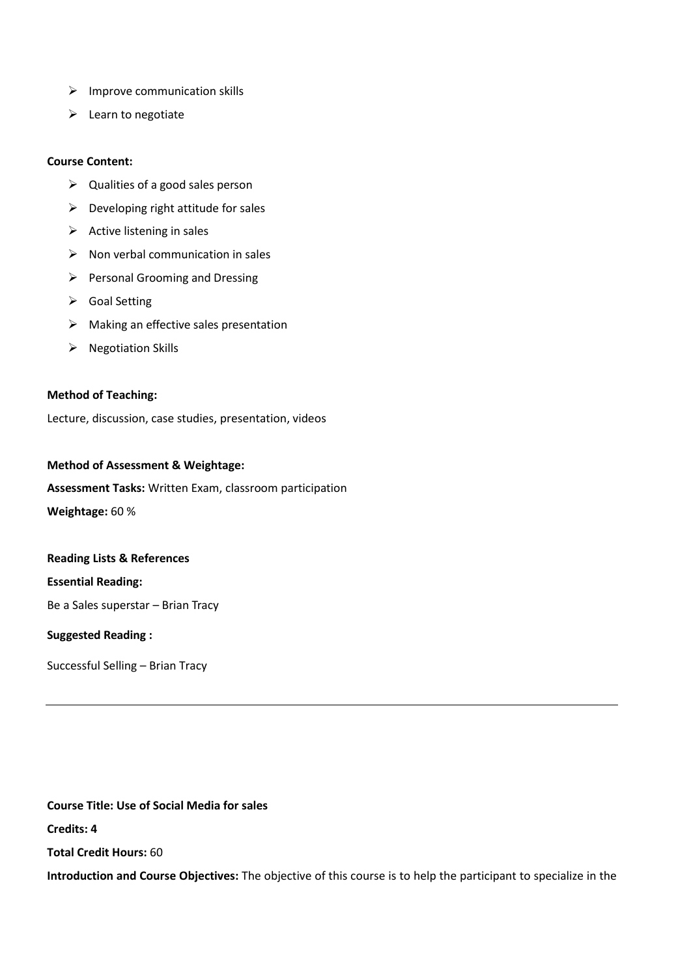- $\triangleright$  Improve communication skills
- $\triangleright$  Learn to negotiate

#### **Course Content:**

- $\triangleright$  Qualities of a good sales person
- $\triangleright$  Developing right attitude for sales
- $\triangleright$  Active listening in sales
- $\triangleright$  Non verbal communication in sales
- $\triangleright$  Personal Grooming and Dressing
- Goal Setting
- $\triangleright$  Making an effective sales presentation
- $\triangleright$  Negotiation Skills

#### **Method of Teaching:**

Lecture, discussion, case studies, presentation, videos

#### **Method of Assessment & Weightage:**

#### **Assessment Tasks:** Written Exam, classroom participation

**Weightage:** 60 %

#### **Reading Lists & References**

**Essential Reading:**

Be a Sales superstar – Brian Tracy

#### **Suggested Reading :**

Successful Selling – Brian Tracy

**Course Title: Use of Social Media for sales**

**Credits: 4**

**Total Credit Hours:** 60

**Introduction and Course Objectives:** The objective of this course is to help the participant to specialize in the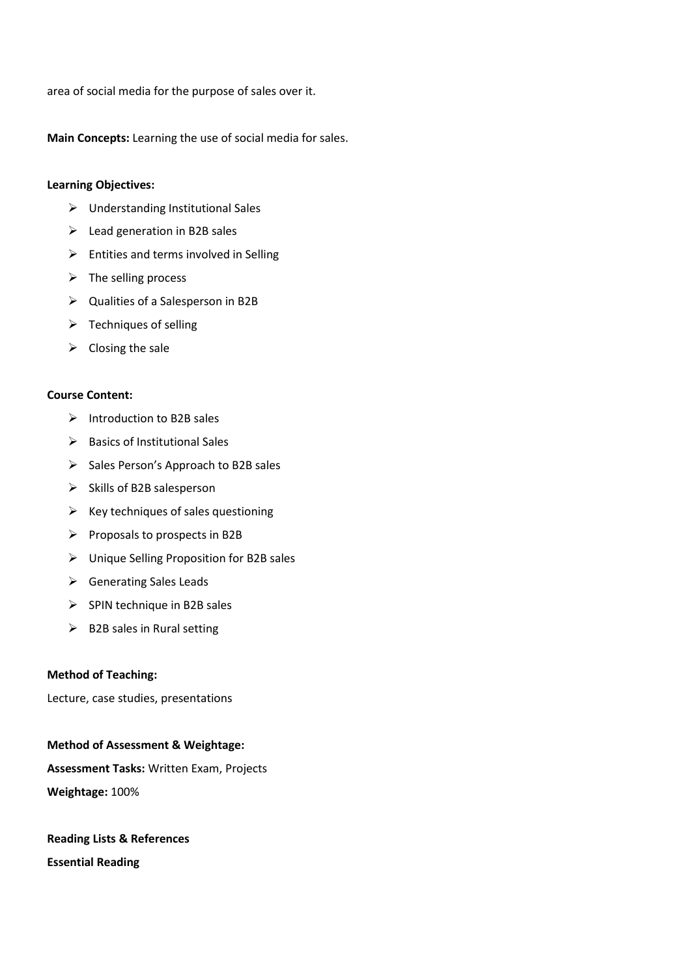area of social media for the purpose of sales over it.

**Main Concepts:** Learning the use of social media for sales.

#### **Learning Objectives:**

- $\triangleright$  Understanding Institutional Sales
- $\triangleright$  Lead generation in B2B sales
- $\triangleright$  Entities and terms involved in Selling
- $\triangleright$  The selling process
- Qualities of a Salesperson in B2B
- $\triangleright$  Techniques of selling
- $\triangleright$  Closing the sale

#### **Course Content:**

- $\triangleright$  Introduction to B2B sales
- $\triangleright$  Basics of Institutional Sales
- $\triangleright$  Sales Person's Approach to B2B sales
- $\triangleright$  Skills of B2B salesperson
- $\triangleright$  Key techniques of sales questioning
- $\triangleright$  Proposals to prospects in B2B
- Unique Selling Proposition for B2B sales
- $\triangleright$  Generating Sales Leads
- $\triangleright$  SPIN technique in B2B sales
- $\triangleright$  B2B sales in Rural setting

#### **Method of Teaching:**

Lecture, case studies, presentations

## **Method of Assessment & Weightage: Assessment Tasks:** Written Exam, Projects **Weightage:** 100%

## **Reading Lists & References Essential Reading**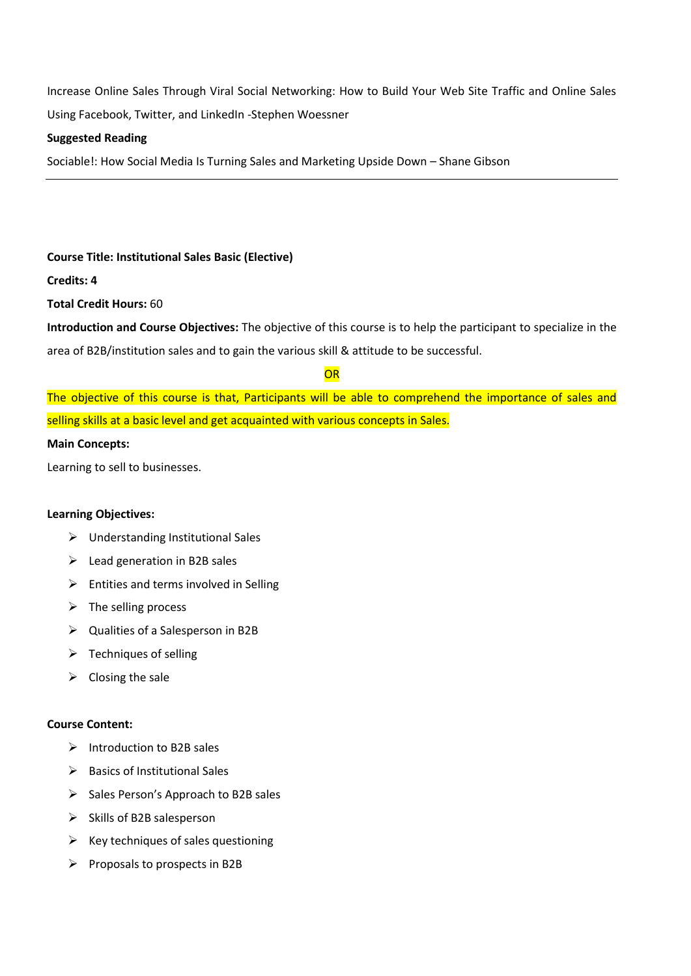Increase Online Sales Through Viral Social Networking: How to Build Your Web Site Traffic and Online Sales Using Facebook, Twitter, and LinkedIn -Stephen Woessner

#### **Suggested Reading**

Sociable!: How Social Media Is Turning Sales [and Marketing Upside Down](http://www.flipkart.com/sociable-social-media-turning-sales-marketing-upside-down/p/itmdyhkhhffqcxpz?pid=9781439264003&otracker=from-search&srno=t_8&query=sales+social+media&ref=8a63a395-c388-42e9-be8c-decf3ff75e97) – Shane Gibson

#### **Course Title: Institutional Sales Basic (Elective)**

#### **Credits: 4**

**Total Credit Hours:** 60

**Introduction and Course Objectives:** The objective of this course is to help the participant to specialize in the area of B2B/institution sales and to gain the various skill & attitude to be successful.

#### **OR**

The objective of this course is that, Participants will be able to comprehend the importance of sales and selling skills at a basic level and get acquainted with various concepts in Sales.

#### **Main Concepts:**

Learning to sell to businesses.

#### **Learning Objectives:**

- Understanding Institutional Sales
- $\triangleright$  Lead generation in B2B sales
- $\triangleright$  Entities and terms involved in Selling
- $\triangleright$  The selling process
- $\triangleright$  Qualities of a Salesperson in B2B
- $\triangleright$  Techniques of selling
- $\triangleright$  Closing the sale

#### **Course Content:**

- $\triangleright$  Introduction to B2B sales
- $\triangleright$  Basics of Institutional Sales
- $\triangleright$  Sales Person's Approach to B2B sales
- $\triangleright$  Skills of B2B salesperson
- $\triangleright$  Key techniques of sales questioning
- $\triangleright$  Proposals to prospects in B2B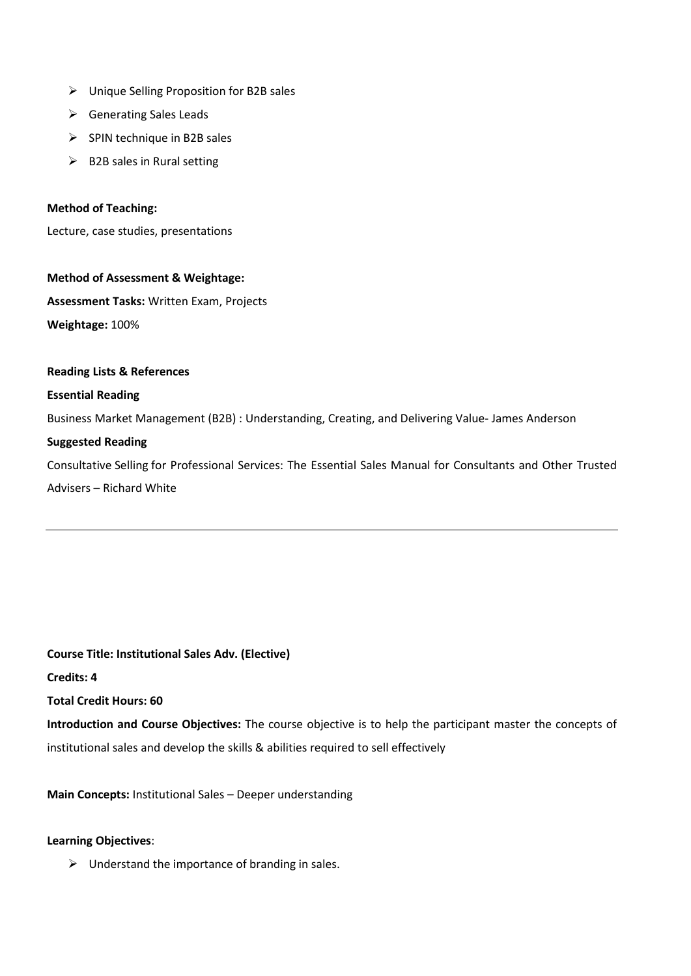- Unique Selling Proposition for B2B sales
- ▶ Generating Sales Leads
- $\triangleright$  SPIN technique in B2B sales
- $\triangleright$  B2B sales in Rural setting

#### **Method of Teaching:**

Lecture, case studies, presentations

#### **Method of Assessment & Weightage:**

**Assessment Tasks:** Written Exam, Projects **Weightage:** 100%

#### **Reading Lists & References**

#### **Essential Reading**

Business Market Management (B2B) : Understanding, Creating, and Delivering Value- James Anderson

#### **Suggested Reading**

Consultative Selling for Professional Services: The Essential Sales Manual for Consultants and Other Trusted Advisers – Richard White

**Course Title: Institutional Sales Adv. (Elective) Credits: 4 Total Credit Hours: 60**

**Introduction and Course Objectives:** The course objective is to help the participant master the concepts of institutional sales and develop the skills & abilities required to sell effectively

**Main Concepts:** Institutional Sales – Deeper understanding

#### **Learning Objectives**:

 $\triangleright$  Understand the importance of branding in sales.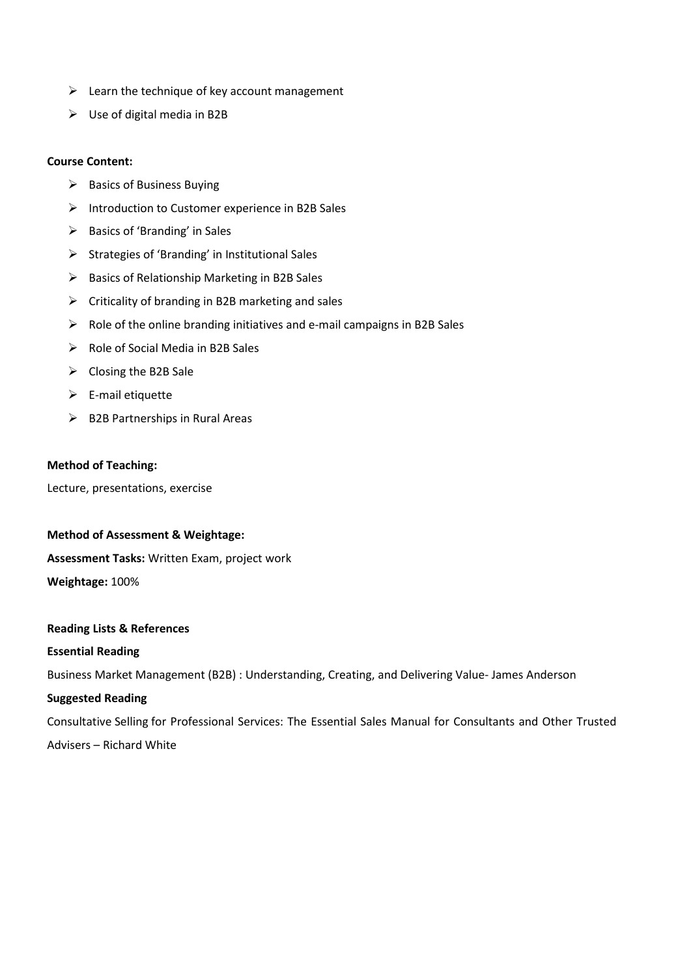- $\triangleright$  Learn the technique of key account management
- $\triangleright$  Use of digital media in B2B

#### **Course Content:**

- $\triangleright$  Basics of Business Buying
- $\triangleright$  Introduction to Customer experience in B2B Sales
- $\triangleright$  Basics of 'Branding' in Sales
- $\triangleright$  Strategies of 'Branding' in Institutional Sales
- $\triangleright$  Basics of Relationship Marketing in B2B Sales
- $\triangleright$  Criticality of branding in B2B marketing and sales
- $\triangleright$  Role of the online branding initiatives and e-mail campaigns in B2B Sales
- $\triangleright$  Role of Social Media in B2B Sales
- $\triangleright$  Closing the B2B Sale
- $\triangleright$  E-mail etiquette
- $\triangleright$  B2B Partnerships in Rural Areas

#### **Method of Teaching:**

Lecture, presentations, exercise

#### **Method of Assessment & Weightage:**

**Assessment Tasks:** Written Exam, project work

**Weightage:** 100%

#### **Reading Lists & References**

#### **Essential Reading**

Business Market Management (B2B) : Understanding, Creating, and Delivering Value- James Anderson

#### **Suggested Reading**

Consultative Selling for Professional Services: The Essential Sales Manual for Consultants and Other Trusted Advisers – Richard White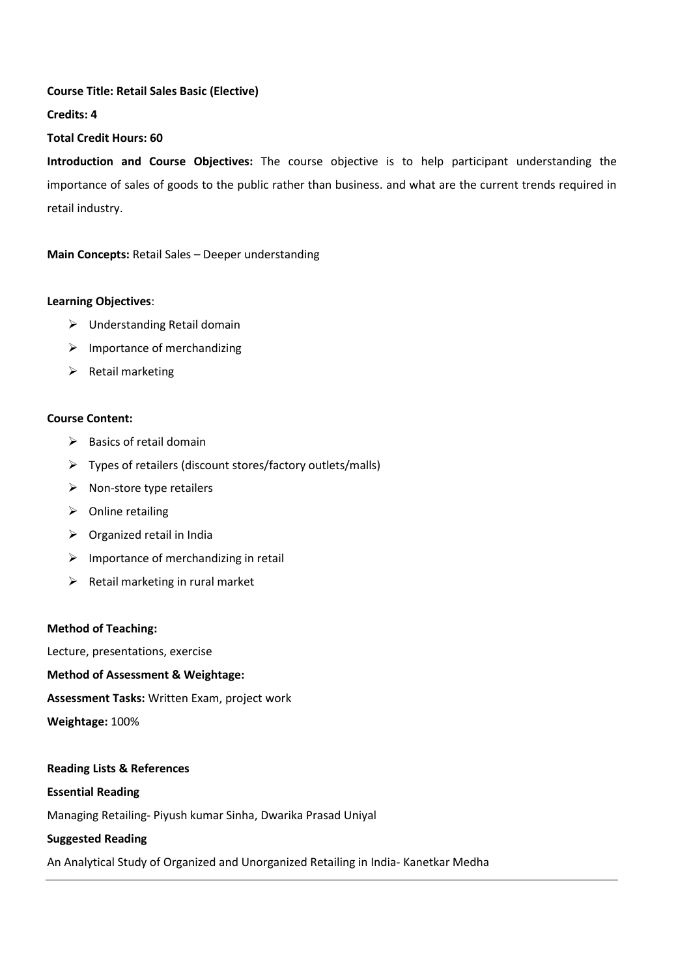#### **Course Title: Retail Sales Basic (Elective)**

**Credits: 4**

#### **Total Credit Hours: 60**

**Introduction and Course Objectives:** The course objective is to help participant understanding the importance of sales of goods to the public rather than business. and what are the current trends required in retail industry.

**Main Concepts:** Retail Sales – Deeper understanding

#### **Learning Objectives**:

- $\triangleright$  Understanding Retail domain
- $\triangleright$  Importance of merchandizing
- $\triangleright$  Retail marketing

#### **Course Content:**

- $\triangleright$  Basics of retail domain
- $\triangleright$  Types of retailers (discount stores/factory outlets/malls)
- $\triangleright$  Non-store type retailers
- $\triangleright$  Online retailing
- $\triangleright$  Organized retail in India
- $\triangleright$  Importance of merchandizing in retail
- $\triangleright$  Retail marketing in rural market

#### **Method of Teaching:**

Lecture, presentations, exercise

#### **Method of Assessment & Weightage:**

**Assessment Tasks:** Written Exam, project work

**Weightage:** 100%

## **Reading Lists & References Essential Reading** Managing Retailing- Piyush kumar Sinha, Dwarika Prasad Uniyal **Suggested Reading**

An Analytical Study of Organized and Unorganized Retailing in India- Kanetkar Medha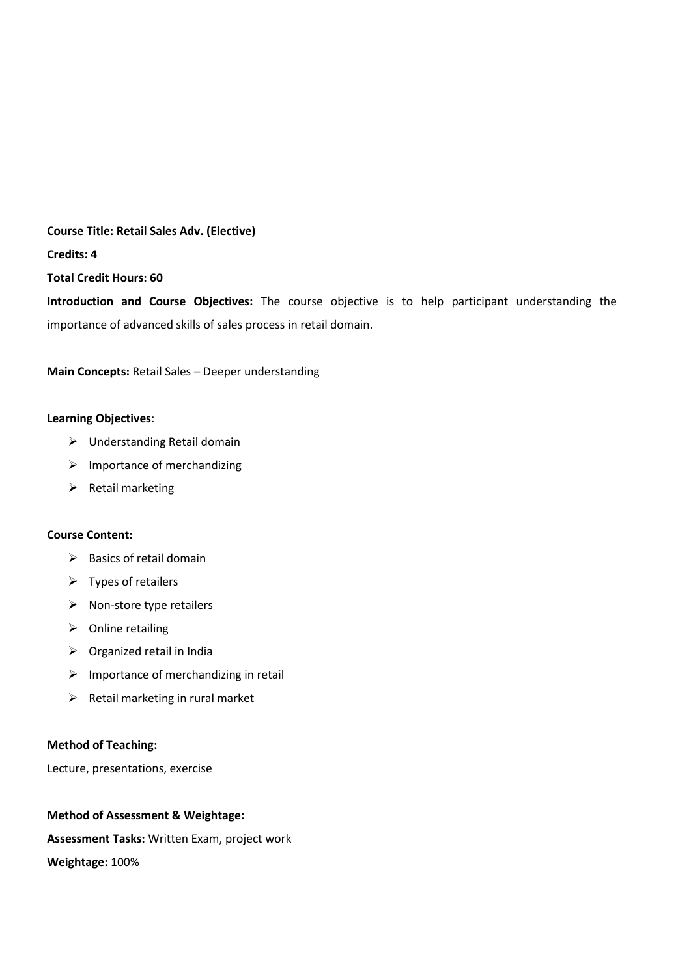## **Course Title: Retail Sales Adv. (Elective)**

**Credits: 4**

**Total Credit Hours: 60**

**Introduction and Course Objectives:** The course objective is to help participant understanding the importance of advanced skills of sales process in retail domain.

**Main Concepts:** Retail Sales – Deeper understanding

#### **Learning Objectives**:

- Understanding Retail domain
- $\triangleright$  Importance of merchandizing
- $\triangleright$  Retail marketing

#### **Course Content:**

- $\triangleright$  Basics of retail domain
- $\triangleright$  Types of retailers
- $\triangleright$  Non-store type retailers
- $\triangleright$  Online retailing
- $\triangleright$  Organized retail in India
- $\triangleright$  Importance of merchandizing in retail
- $\triangleright$  Retail marketing in rural market

#### **Method of Teaching:**

Lecture, presentations, exercise

#### **Method of Assessment & Weightage:**

**Assessment Tasks:** Written Exam, project work

**Weightage:** 100%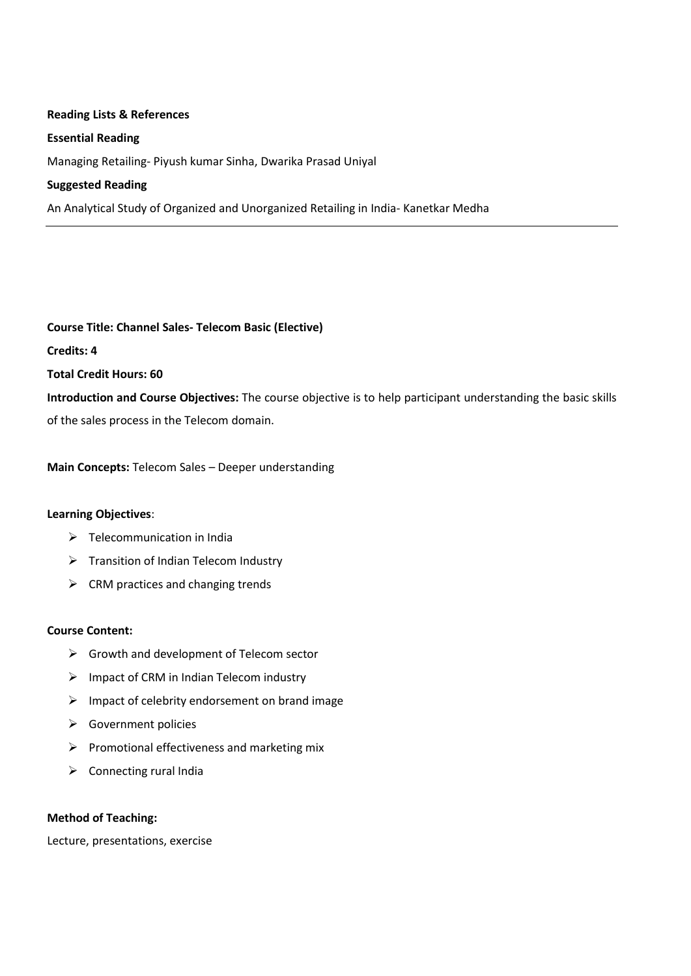#### **Reading Lists & References**

#### **Essential Reading**

Managing Retailing- Piyush kumar Sinha, Dwarika Prasad Uniyal

#### **Suggested Reading**

An Analytical Study of Organized and Unorganized Retailing in India- Kanetkar Medha

**Course Title: Channel Sales- Telecom Basic (Elective) Credits: 4 Total Credit Hours: 60 Introduction and Course Objectives:** The course objective is to help participant understanding the basic skills of the sales process in the Telecom domain.

**Main Concepts:** Telecom Sales – Deeper understanding

#### **Learning Objectives**:

- $\triangleright$  Telecommunication in India
- $\triangleright$  Transition of Indian Telecom Industry
- $\triangleright$  CRM practices and changing trends

#### **Course Content:**

- $\triangleright$  Growth and development of Telecom sector
- $\triangleright$  Impact of CRM in Indian Telecom industry
- $\triangleright$  Impact of celebrity endorsement on brand image
- $\triangleright$  Government policies
- $\triangleright$  Promotional effectiveness and marketing mix
- $\triangleright$  Connecting rural India

#### **Method of Teaching:**

Lecture, presentations, exercise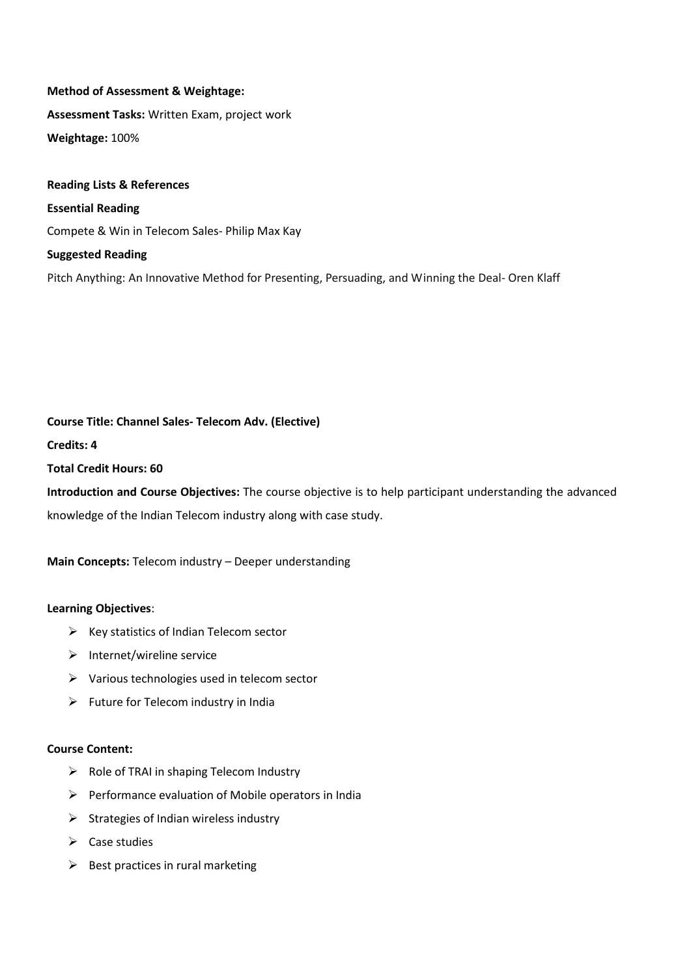## **Method of Assessment & Weightage: Assessment Tasks:** Written Exam, project work **Weightage:** 100%

**Reading Lists & References Essential Reading** Compete & Win in Telecom Sales- Philip Max Kay **Suggested Reading**

Pitch Anything: An Innovative Method for Presenting, Persuading, and Winning the Deal- Oren Klaff

#### **Course Title: Channel Sales- Telecom Adv. (Elective)**

**Credits: 4**

**Total Credit Hours: 60**

**Introduction and Course Objectives:** The course objective is to help participant understanding the advanced knowledge of the Indian Telecom industry along with case study.

**Main Concepts:** Telecom industry – Deeper understanding

#### **Learning Objectives**:

- $\triangleright$  Key statistics of Indian Telecom sector
- $\triangleright$  Internet/wireline service
- $\triangleright$  Various technologies used in telecom sector
- $\triangleright$  Future for Telecom industry in India

#### **Course Content:**

- $\triangleright$  Role of TRAI in shaping Telecom Industry
- $\triangleright$  Performance evaluation of Mobile operators in India
- $\triangleright$  Strategies of Indian wireless industry
- $\triangleright$  Case studies
- $\triangleright$  Best practices in rural marketing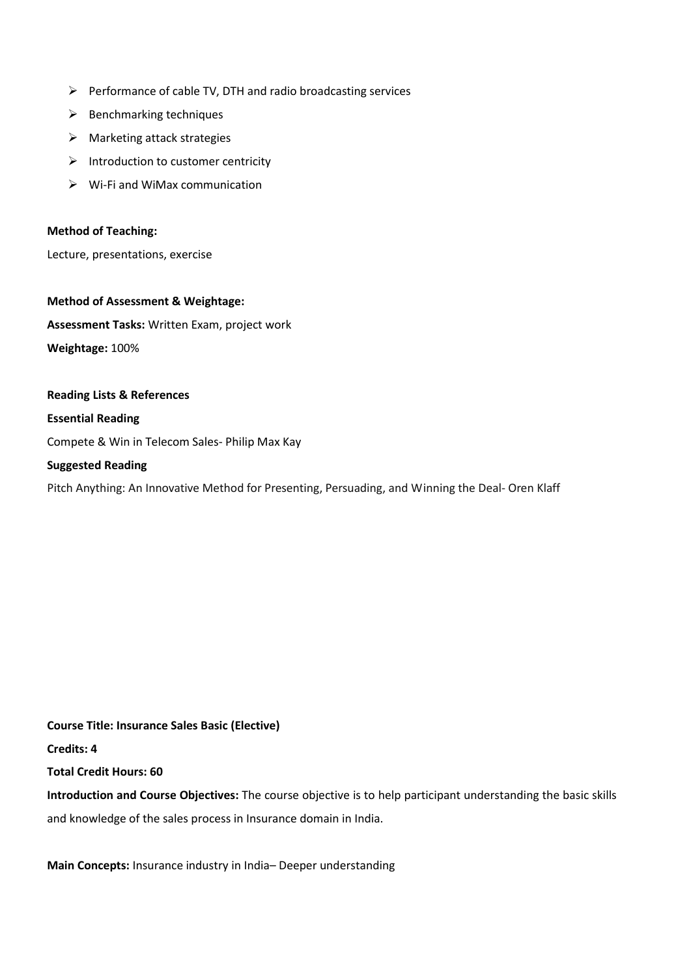- $\triangleright$  Performance of cable TV, DTH and radio broadcasting services
- $\triangleright$  Benchmarking techniques
- $\triangleright$  Marketing attack strategies
- $\triangleright$  Introduction to customer centricity
- $\triangleright$  Wi-Fi and WiMax communication

#### **Method of Teaching:**

Lecture, presentations, exercise

**Method of Assessment & Weightage: Assessment Tasks:** Written Exam, project work **Weightage:** 100%

**Reading Lists & References Essential Reading** Compete & Win in Telecom Sales- Philip Max Kay **Suggested Reading** Pitch Anything: An Innovative Method for Presenting, Persuading, and Winning the Deal- Oren Klaff

**Course Title: Insurance Sales Basic (Elective) Credits: 4 Total Credit Hours: 60 Introduction and Course Objectives:** The course objective is to help participant understanding the basic skills and knowledge of the sales process in Insurance domain in India.

**Main Concepts:** Insurance industry in India– Deeper understanding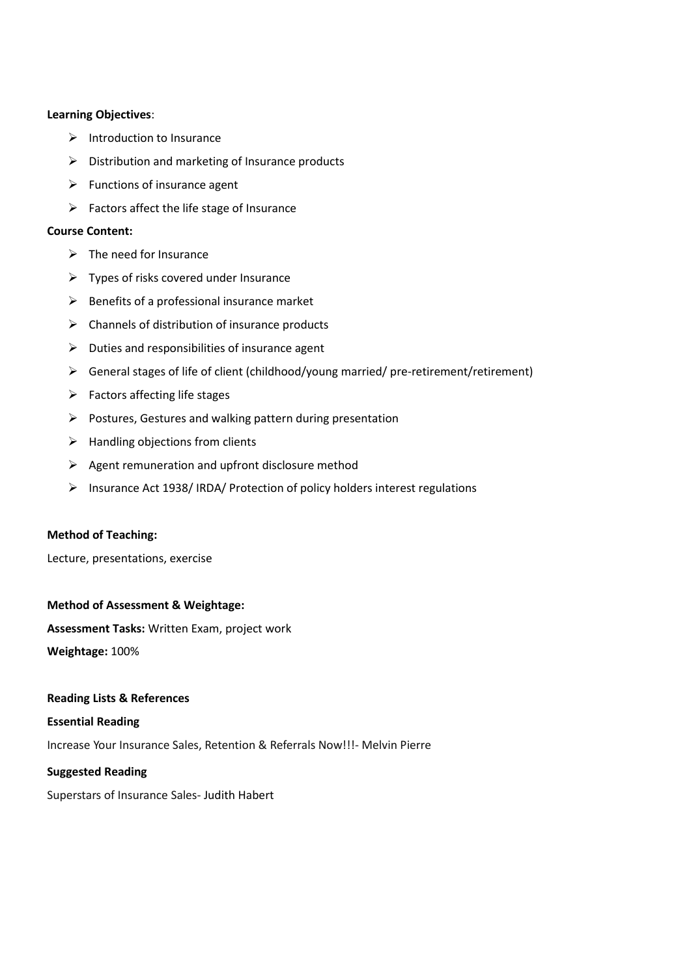#### **Learning Objectives**:

- $\triangleright$  Introduction to Insurance
- $\triangleright$  Distribution and marketing of Insurance products
- $\triangleright$  Functions of insurance agent
- $\triangleright$  Factors affect the life stage of Insurance

#### **Course Content:**

- $\triangleright$  The need for Insurance
- $\triangleright$  Types of risks covered under Insurance
- $\triangleright$  Benefits of a professional insurance market
- $\triangleright$  Channels of distribution of insurance products
- $\triangleright$  Duties and responsibilities of insurance agent
- General stages of life of client (childhood/young married/ pre-retirement/retirement)
- $\triangleright$  Factors affecting life stages
- $\triangleright$  Postures, Gestures and walking pattern during presentation
- $\triangleright$  Handling objections from clients
- $\triangleright$  Agent remuneration and upfront disclosure method
- Insurance Act 1938/ IRDA/ Protection of policy holders interest regulations

#### **Method of Teaching:**

Lecture, presentations, exercise

#### **Method of Assessment & Weightage:**

**Assessment Tasks:** Written Exam, project work

**Weightage:** 100%

#### **Reading Lists & References**

#### **Essential Reading**

Increase Your Insurance Sales, Retention & Referrals Now!!!- Melvin Pierre

#### **Suggested Reading**

Superstars of Insurance Sales- [Judith Habert](http://www.amazon.com/s/ref=dp_byline_sr_book_1?ie=UTF8&field-author=Judith+Habert&search-alias=books&text=Judith+Habert&sort=relevancerank)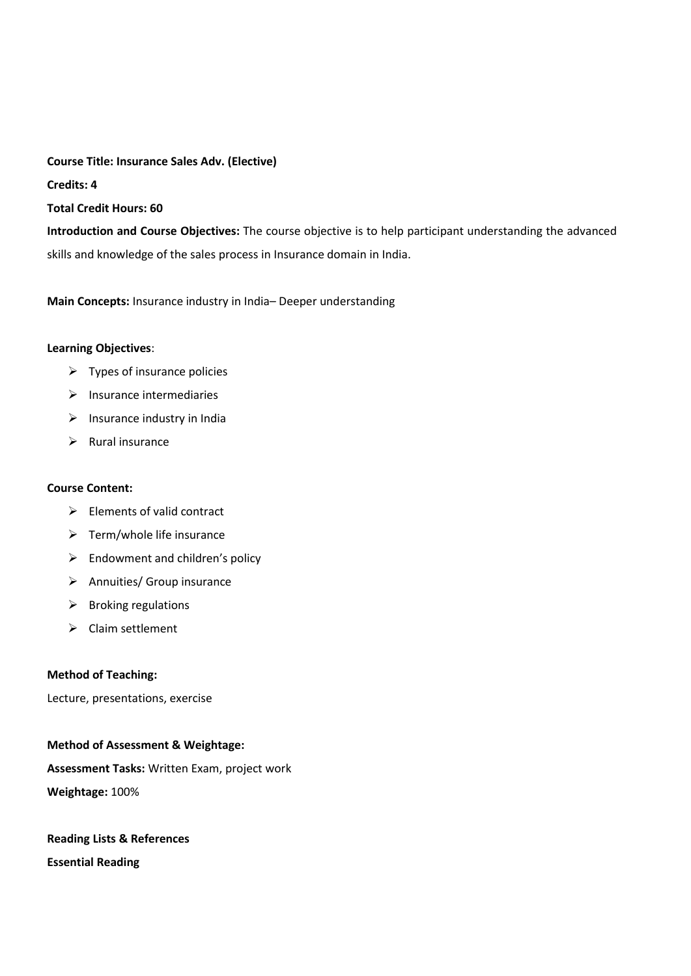**Course Title: Insurance Sales Adv. (Elective) Credits: 4 Total Credit Hours: 60**

**Introduction and Course Objectives:** The course objective is to help participant understanding the advanced skills and knowledge of the sales process in Insurance domain in India.

**Main Concepts:** Insurance industry in India– Deeper understanding

#### **Learning Objectives**:

- $\triangleright$  Types of insurance policies
- $\triangleright$  Insurance intermediaries
- $\triangleright$  Insurance industry in India
- $\triangleright$  Rural insurance

#### **Course Content:**

- $\triangleright$  Elements of valid contract
- $\triangleright$  Term/whole life insurance
- $\triangleright$  Endowment and children's policy
- $\triangleright$  Annuities/ Group insurance
- $\triangleright$  Broking regulations
- $\triangleright$  Claim settlement

#### **Method of Teaching:**

Lecture, presentations, exercise

#### **Method of Assessment & Weightage:**

**Assessment Tasks:** Written Exam, project work **Weightage:** 100%

## **Reading Lists & References Essential Reading**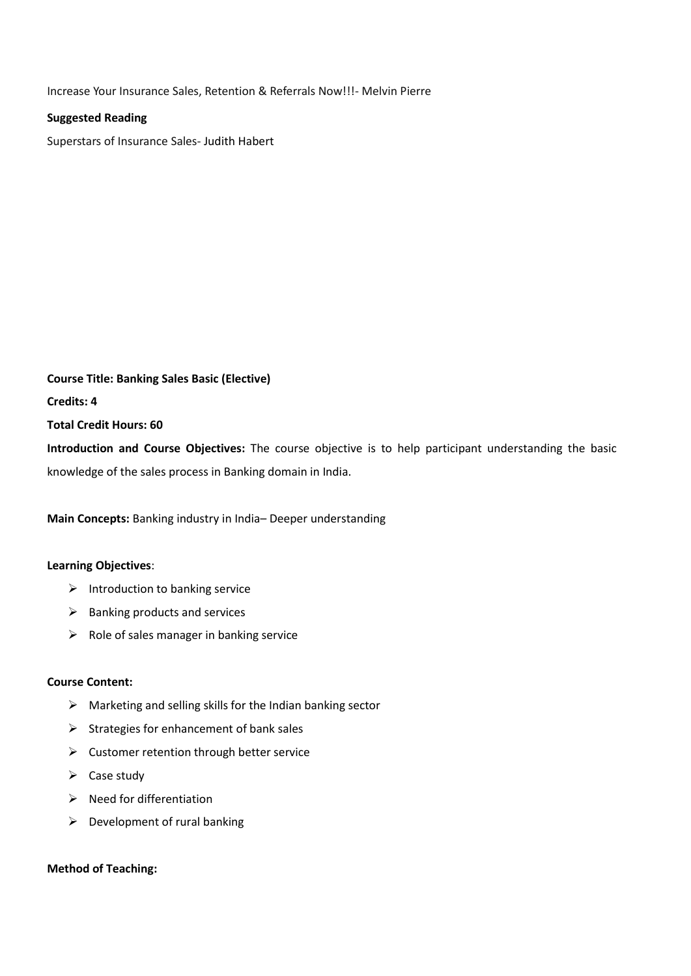Increase Your Insurance Sales, Retention & Referrals Now!!!- Melvin Pierre

#### **Suggested Reading**

Superstars of Insurance Sales- [Judith Habert](http://www.amazon.com/s/ref=dp_byline_sr_book_1?ie=UTF8&field-author=Judith+Habert&search-alias=books&text=Judith+Habert&sort=relevancerank)

**Course Title: Banking Sales Basic (Elective) Credits: 4 Total Credit Hours: 60 Introduction and Course Objectives:** The course objective is to help participant understanding the basic

knowledge of the sales process in Banking domain in India.

**Main Concepts:** Banking industry in India– Deeper understanding

#### **Learning Objectives**:

- $\triangleright$  Introduction to banking service
- $\triangleright$  Banking products and services
- $\triangleright$  Role of sales manager in banking service

#### **Course Content:**

- $\triangleright$  Marketing and selling skills for the Indian banking sector
- $\triangleright$  Strategies for enhancement of bank sales
- $\triangleright$  Customer retention through better service
- $\triangleright$  Case study
- $\triangleright$  Need for differentiation
- $\triangleright$  Development of rural banking

#### **Method of Teaching:**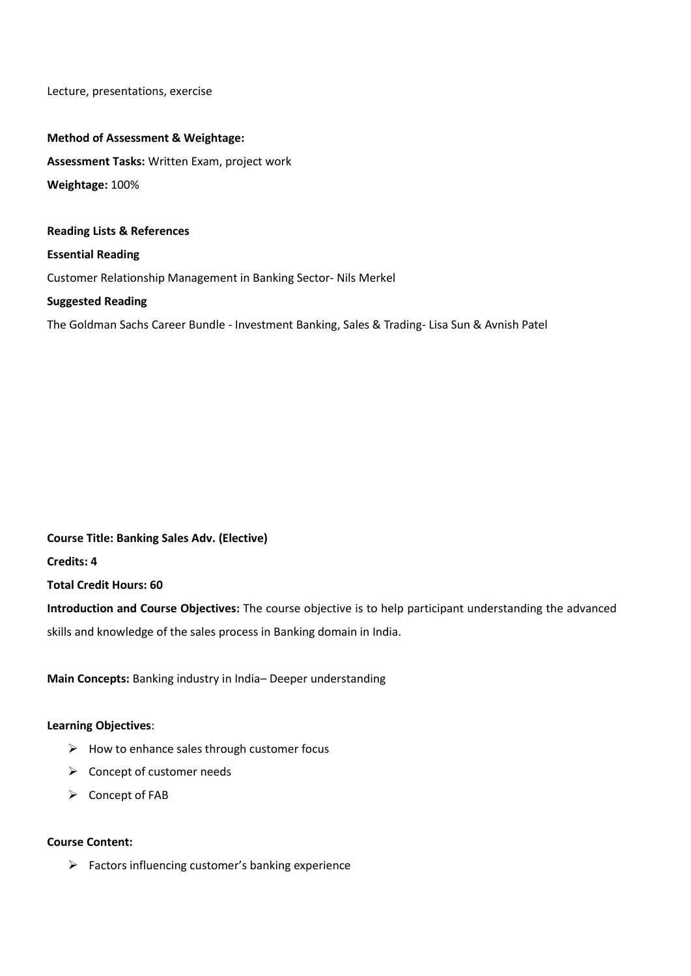Lecture, presentations, exercise

#### **Method of Assessment & Weightage:**

**Assessment Tasks:** Written Exam, project work **Weightage:** 100%

## **Reading Lists & References Essential Reading** [Customer Relationship Management in Banking Sector-](http://www.amazon.in/Customer-Relationship-Management-Banking-Sector-ebook/dp/B007OVT2FW/ref=sr_1_9?ie=UTF8&qid=1419572909&sr=8-9&keywords=banking+sales) Nils Merkel

#### **Suggested Reading**

The Goldman Sachs Career Bundle - Investment Banking, Sales & Trading- Lisa Sun & Avnish Patel

### **Course Title: Banking Sales Adv. (Elective) Credits: 4**

**Total Credit Hours: 60**

**Introduction and Course Objectives:** The course objective is to help participant understanding the advanced skills and knowledge of the sales process in Banking domain in India.

**Main Concepts:** Banking industry in India– Deeper understanding

#### **Learning Objectives**:

- $\triangleright$  How to enhance sales through customer focus
- $\triangleright$  Concept of customer needs
- $\triangleright$  Concept of FAB

#### **Course Content:**

 $\triangleright$  Factors influencing customer's banking experience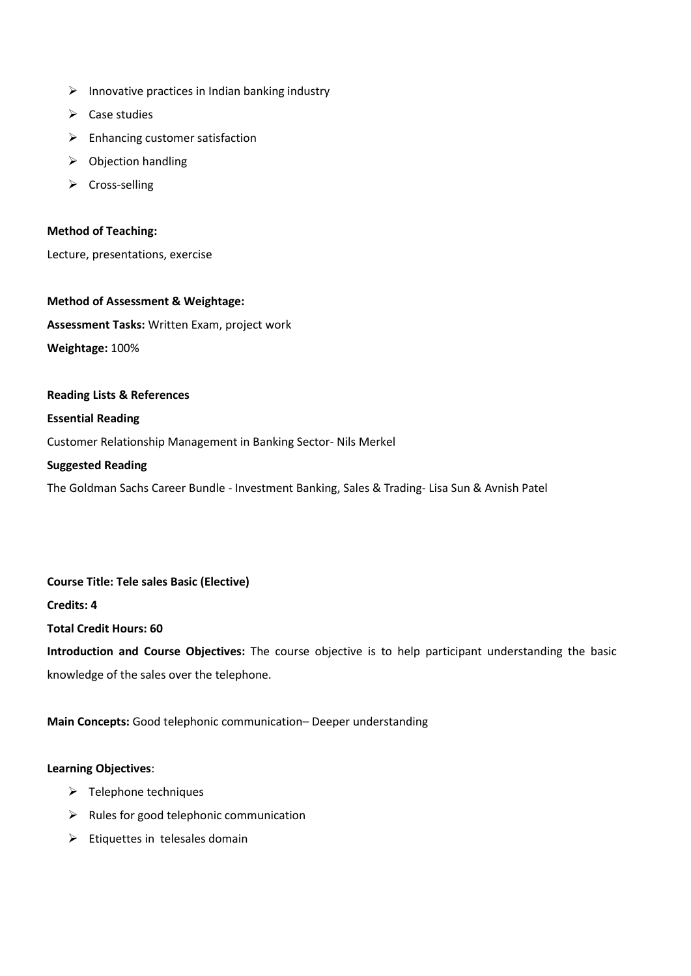- $\triangleright$  Innovative practices in Indian banking industry
- $\triangleright$  Case studies
- $\triangleright$  Enhancing customer satisfaction
- $\triangleright$  Objection handling
- $\triangleright$  Cross-selling

#### **Method of Teaching:**

Lecture, presentations, exercise

**Method of Assessment & Weightage: Assessment Tasks:** Written Exam, project work **Weightage:** 100%

#### **Reading Lists & References**

#### **Essential Reading**

[Customer Relationship Management in Banking Sector-](http://www.amazon.in/Customer-Relationship-Management-Banking-Sector-ebook/dp/B007OVT2FW/ref=sr_1_9?ie=UTF8&qid=1419572909&sr=8-9&keywords=banking+sales) Nils Merkel

#### **Suggested Reading**

The Goldman Sachs Career Bundle - Investment Banking, Sales & Trading- Lisa Sun & Avnish Patel

# **Course Title: Tele sales Basic (Elective)**

**Credits: 4**

**Total Credit Hours: 60**

**Introduction and Course Objectives:** The course objective is to help participant understanding the basic knowledge of the sales over the telephone.

#### **Main Concepts:** Good telephonic communication– Deeper understanding

#### **Learning Objectives**:

- $\triangleright$  Telephone techniques
- $\triangleright$  Rules for good telephonic communication
- $\triangleright$  Etiquettes in telesales domain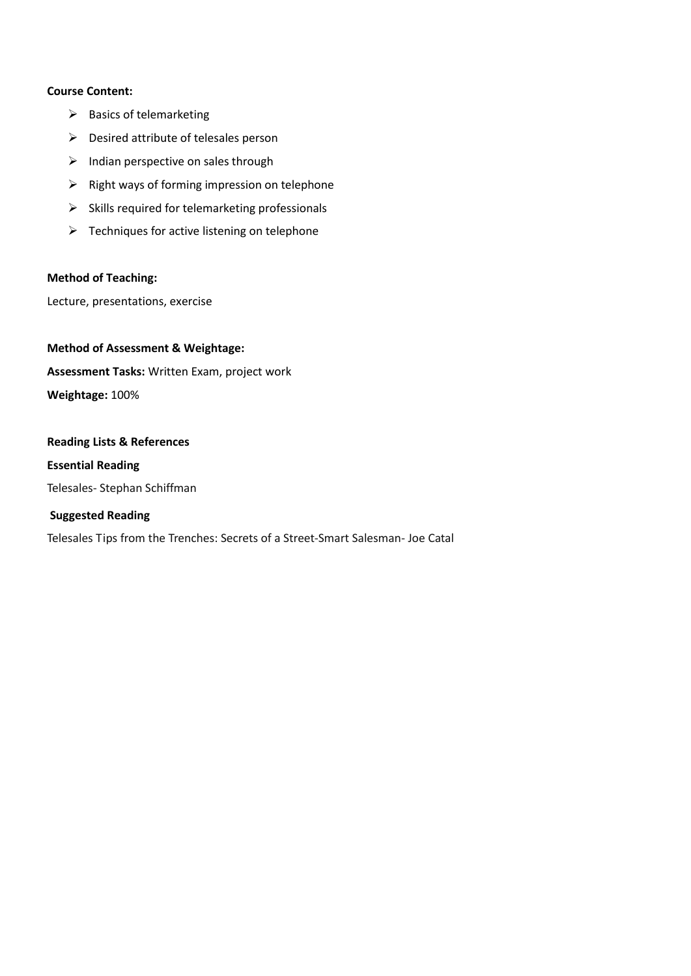#### **Course Content:**

- $\triangleright$  Basics of telemarketing
- $\triangleright$  Desired attribute of telesales person
- $\triangleright$  Indian perspective on sales through
- $\triangleright$  Right ways of forming impression on telephone
- $\triangleright$  Skills required for telemarketing professionals
- $\triangleright$  Techniques for active listening on telephone

#### **Method of Teaching:**

Lecture, presentations, exercise

**Method of Assessment & Weightage: Assessment Tasks:** Written Exam, project work **Weightage:** 100%

### **Reading Lists & References Essential Reading**

Telesales- Stephan Schiffman

#### **Suggested Reading**

Telesales Tips from the Trenches: Secrets of a Street-Smart Salesman- Joe Catal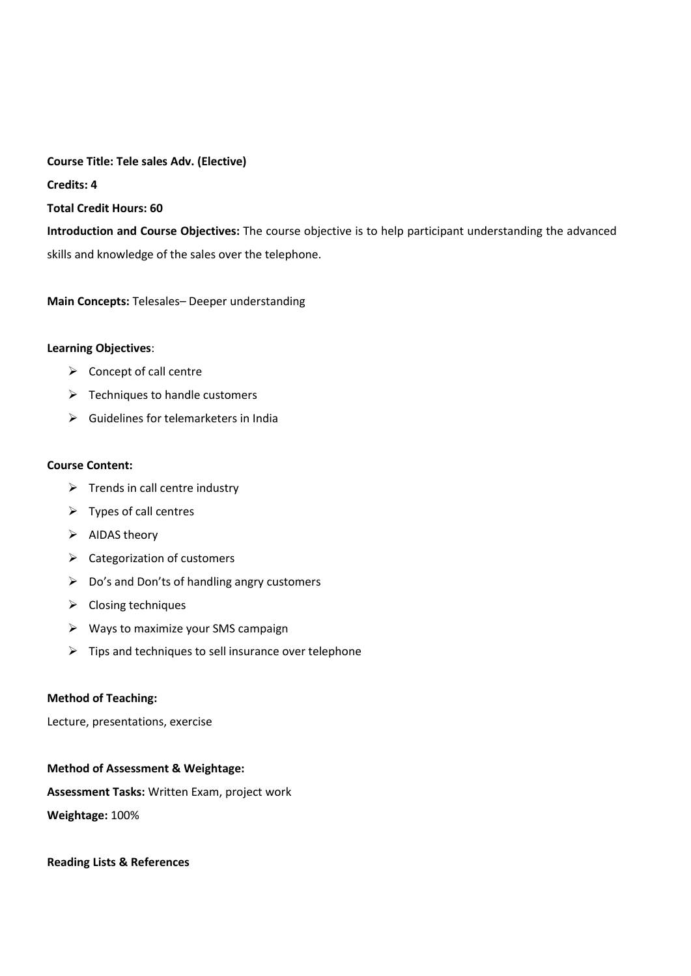**Course Title: Tele sales Adv. (Elective) Credits: 4 Total Credit Hours: 60 Introduction and Course Objectives:** The course objective is to help participant understanding the advanced

**Main Concepts:** Telesales– Deeper understanding

skills and knowledge of the sales over the telephone.

#### **Learning Objectives**:

- $\triangleright$  Concept of call centre
- $\triangleright$  Techniques to handle customers
- $\triangleright$  Guidelines for telemarketers in India

#### **Course Content:**

- $\triangleright$  Trends in call centre industry
- $\triangleright$  Types of call centres
- $\triangleright$  AIDAS theory
- $\triangleright$  Categorization of customers
- $\triangleright$  Do's and Don'ts of handling angry customers
- $\triangleright$  Closing techniques
- $\triangleright$  Ways to maximize your SMS campaign
- $\triangleright$  Tips and techniques to sell insurance over telephone

#### **Method of Teaching:**

Lecture, presentations, exercise

#### **Method of Assessment & Weightage:**

**Assessment Tasks:** Written Exam, project work

**Weightage:** 100%

**Reading Lists & References**